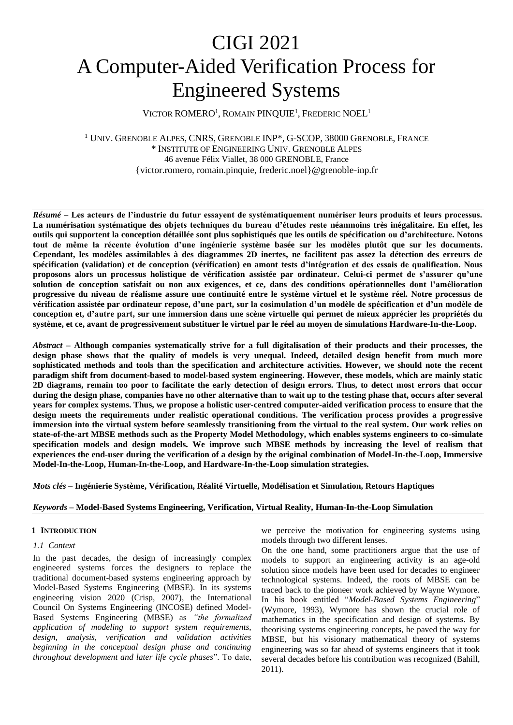# CIGI 2021 A Computer-Aided Verification Process for Engineered Systems

VICTOR ROMERO<sup>1</sup>, ROMAIN PINQUIE<sup>1</sup>, FREDERIC NOEL<sup>1</sup>

<sup>1</sup> UNIV. GRENOBLE ALPES, CNRS, GRENOBLE INP\*, G-SCOP, 38000 GRENOBLE, FRANCE \* INSTITUTE OF ENGINEERING UNIV. GRENOBLE ALPES 46 avenue Félix Viallet, 38 000 GRENOBLE, France {victor.romero, romain.pinquie, frederic.noel}@grenoble-inp.fr

*Résumé* **– Les acteurs de l'industrie du futur essayent de systématiquement numériser leurs produits et leurs processus. La numérisation systématique des objets techniques du bureau d'études reste néanmoins très inégalitaire. En effet, les outils qui supportent la conception détaillée sont plus sophistiqués que les outils de spécification ou d'architecture. Notons tout de même la récente évolution d'une ingénierie système basée sur les modèles plutôt que sur les documents. Cependant, les modèles assimilables à des diagrammes 2D inertes, ne facilitent pas assez la détection des erreurs de spécification (validation) et de conception (vérification) en amont tests d'intégration et des essais de qualification. Nous proposons alors un processus holistique de vérification assistée par ordinateur. Celui-ci permet de s'assurer qu'une solution de conception satisfait ou non aux exigences, et ce, dans des conditions opérationnelles dont l'amélioration progressive du niveau de réalisme assure une continuité entre le système virtuel et le système réel. Notre processus de vérification assistée par ordinateur repose, d'une part, sur la cosimulation d'un modèle de spécification et d'un modèle de conception et, d'autre part, sur une immersion dans une scène virtuelle qui permet de mieux apprécier les propriétés du système, et ce, avant de progressivement substituer le virtuel par le réel au moyen de simulations Hardware-In-the-Loop.**

*Abstract* **– Although companies systematically strive for a full digitalisation of their products and their processes, the design phase shows that the quality of models is very unequal. Indeed, detailed design benefit from much more sophisticated methods and tools than the specification and architecture activities. However, we should note the recent paradigm shift from document-based to model-based system engineering. However, these models, which are mainly static 2D diagrams, remain too poor to facilitate the early detection of design errors. Thus, to detect most errors that occur during the design phase, companies have no other alternative than to wait up to the testing phase that, occurs after several years for complex systems. Thus, we propose a holistic user-centred computer-aided verification process to ensure that the design meets the requirements under realistic operational conditions. The verification process provides a progressive immersion into the virtual system before seamlessly transitioning from the virtual to the real system. Our work relies on state-of-the-art MBSE methods such as the Property Model Methodology, which enables systems engineers to co-simulate specification models and design models. We improve such MBSE methods by increasing the level of realism that experiences the end-user during the verification of a design by the original combination of Model-In-the-Loop, Immersive Model-In-the-Loop, Human-In-the-Loop, and Hardware-In-the-Loop simulation strategies.**

*Mots clés* **– Ingénierie Système, Vérification, Réalité Virtuelle, Modélisation et Simulation, Retours Haptiques**

# *Keywords* **– Model-Based Systems Engineering, Verification, Virtual Reality, Human-In-the-Loop Simulation**

# **1 INTRODUCTION**

# *1.1 Context*

In the past decades, the design of increasingly complex engineered systems forces the designers to replace the traditional document-based systems engineering approach by Model-Based Systems Engineering (MBSE). In its systems engineering vision 2020 (Crisp, 2007), the International Council On Systems Engineering (INCOSE) defined Model-Based Systems Engineering (MBSE) as *"the formalized application of modeling to support system requirements, design, analysis, verification and validation activities beginning in the conceptual design phase and continuing throughout development and later life cycle phases*". To date,

we perceive the motivation for engineering systems using models through two different lenses.

On the one hand, some practitioners argue that the use of models to support an engineering activity is an age-old solution since models have been used for decades to engineer technological systems. Indeed, the roots of MBSE can be traced back to the pioneer work achieved by Wayne Wymore. In his book entitled "*Model-Based Systems Engineering*" (Wymore, 1993), Wymore has shown the crucial role of mathematics in the specification and design of systems. By theorising systems engineering concepts, he paved the way for MBSE, but his visionary mathematical theory of systems engineering was so far ahead of systems engineers that it took several decades before his contribution was recognized (Bahill, 2011).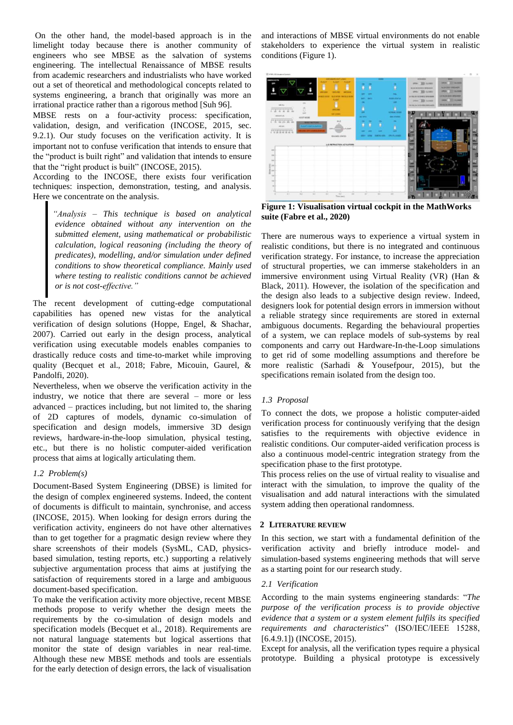On the other hand, the model-based approach is in the limelight today because there is another community of engineers who see MBSE as the salvation of systems engineering. The intellectual Renaissance of MBSE results from academic researchers and industrialists who have worked out a set of theoretical and methodological concepts related to systems engineering, a branch that originally was more an irrational practice rather than a rigorous method [Suh 96].

MBSE rests on a four-activity process: specification, validation, design, and verification (INCOSE, 2015, sec. 9.2.1). Our study focuses on the verification activity. It is important not to confuse verification that intends to ensure that the "product is built right" and validation that intends to ensure that the "right product is built" (INCOSE, 2015).

According to the INCOSE, there exists four verification techniques: inspection, demonstration, testing, and analysis. Here we concentrate on the analysis.

*"Analysis – This technique is based on analytical evidence obtained without any intervention on the submitted element, using mathematical or probabilistic calculation, logical reasoning (including the theory of predicates), modelling, and/or simulation under defined conditions to show theoretical compliance. Mainly used where testing to realistic conditions cannot be achieved or is not cost-effective."*

The recent development of cutting-edge computational capabilities has opened new vistas for the analytical verification of design solutions (Hoppe, Engel, & Shachar, 2007). Carried out early in the design process, analytical verification using executable models enables companies to drastically reduce costs and time-to-market while improving quality (Becquet et al., 2018; Fabre, Micouin, Gaurel, & Pandolfi, 2020).

Nevertheless, when we observe the verification activity in the industry, we notice that there are several – more or less advanced – practices including, but not limited to, the sharing of 2D captures of models, dynamic co-simulation of specification and design models, immersive 3D design reviews, hardware-in-the-loop simulation, physical testing, etc., but there is no holistic computer-aided verification process that aims at logically articulating them.

# *1.2 Problem(s)*

Document-Based System Engineering (DBSE) is limited for the design of complex engineered systems. Indeed, the content of documents is difficult to maintain, synchronise, and access (INCOSE, 2015). When looking for design errors during the verification activity, engineers do not have other alternatives than to get together for a pragmatic design review where they share screenshots of their models (SysML, CAD, physicsbased simulation, testing reports, etc.) supporting a relatively subjective argumentation process that aims at justifying the satisfaction of requirements stored in a large and ambiguous document-based specification.

To make the verification activity more objective, recent MBSE methods propose to verify whether the design meets the requirements by the co-simulation of design models and specification models (Becquet et al., 2018). Requirements are not natural language statements but logical assertions that monitor the state of design variables in near real-time. Although these new MBSE methods and tools are essentials for the early detection of design errors, the lack of visualisation

and interactions of MBSE virtual environments do not enable stakeholders to experience the virtual system in realistic conditions [\(Figure 1\)](#page-1-0).



<span id="page-1-0"></span>**Figure 1: Visualisation virtual cockpit in the MathWorks suite (Fabre et al., 2020)**

There are numerous ways to experience a virtual system in realistic conditions, but there is no integrated and continuous verification strategy. For instance, to increase the appreciation of structural properties, we can immerse stakeholders in an immersive environment using Virtual Reality (VR) (Han & Black, 2011). However, the isolation of the specification and the design also leads to a subjective design review. Indeed, designers look for potential design errors in immersion without a reliable strategy since requirements are stored in external ambiguous documents. Regarding the behavioural properties of a system, we can replace models of sub-systems by real components and carry out Hardware-In-the-Loop simulations to get rid of some modelling assumptions and therefore be more realistic (Sarhadi & Yousefpour, 2015), but the specifications remain isolated from the design too.

# *1.3 Proposal*

To connect the dots, we propose a holistic computer-aided verification process for continuously verifying that the design satisfies to the requirements with objective evidence in realistic conditions. Our computer-aided verification process is also a continuous model-centric integration strategy from the specification phase to the first prototype.

This process relies on the use of virtual reality to visualise and interact with the simulation, to improve the quality of the visualisation and add natural interactions with the simulated system adding then operational randomness.

# **2 LITERATURE REVIEW**

In this section, we start with a fundamental definition of the verification activity and briefly introduce model- and simulation-based systems engineering methods that will serve as a starting point for our research study.

# *2.1 Verification*

According to the main systems engineering standards: "*The purpose of the verification process is to provide objective evidence that a system or a system element fulfils its specified requirements and characteristics*" (ISO/IEC/IEEE 15288, [6.4.9.1]) (INCOSE, 2015).

Except for analysis, all the verification types require a physical prototype. Building a physical prototype is excessively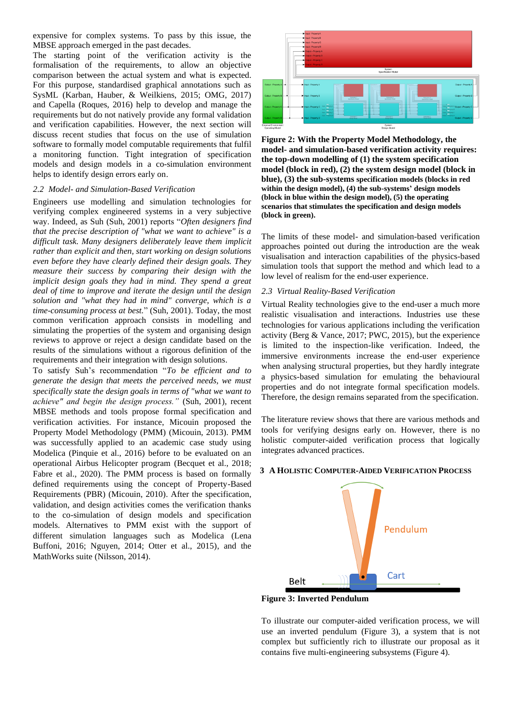expensive for complex systems. To pass by this issue, the MBSE approach emerged in the past decades.

The starting point of the verification activity is the formalisation of the requirements, to allow an objective comparison between the actual system and what is expected. For this purpose, standardised graphical annotations such as SysML (Karban, Hauber, & Weilkiens, 2015; OMG, 2017) and Capella (Roques, 2016) help to develop and manage the requirements but do not natively provide any formal validation and verification capabilities. However, the next section will discuss recent studies that focus on the use of simulation software to formally model computable requirements that fulfil a monitoring function. Tight integration of specification models and design models in a co-simulation environment helps to identify design errors early on.

## *2.2 Model- and Simulation-Based Verification*

Engineers use modelling and simulation technologies for verifying complex engineered systems in a very subjective way. Indeed, as Suh (Suh, 2001) reports "*Often designers find that the precise description of "what we want to achieve" is a difficult task. Many designers deliberately leave them implicit rather than explicit and then, start working on design solutions even before they have clearly defined their design goals. They measure their success by comparing their design with the implicit design goals they had in mind. They spend a great deal of time to improve and iterate the design until the design solution and "what they had in mind" converge, which is a time-consuming process at best.*" (Suh, 2001). Today, the most common verification approach consists in modelling and simulating the properties of the system and organising design reviews to approve or reject a design candidate based on the results of the simulations without a rigorous definition of the requirements and their integration with design solutions.

To satisfy Suh's recommendation "*To be efficient and to generate the design that meets the perceived needs, we must specifically state the design goals in terms of "what we want to achieve" and begin the design process."* (Suh, 2001)*,* recent MBSE methods and tools propose formal specification and verification activities. For instance, Micouin proposed the Property Model Methodology (PMM) (Micouin, 2013). PMM was successfully applied to an academic case study using Modelica (Pinquie et al., 2016) before to be evaluated on an operational Airbus Helicopter program (Becquet et al., 2018; Fabre et al., 2020). The PMM process is based on formally defined requirements using the concept of Property-Based Requirements (PBR) (Micouin, 2010). After the specification, validation, and design activities comes the verification thanks to the co-simulation of design models and specification models. Alternatives to PMM exist with the support of different simulation languages such as Modelica (Lena Buffoni, 2016; Nguyen, 2014; Otter et al., 2015), and the MathWorks suite (Nilsson, 2014).



**Figure 2: With the Property Model Methodology, the model- and simulation-based verification activity requires: the top-down modelling of (1) the system specification model (block in red), (2) the system design model (block in blue), (3) the sub-systems specification models (blocks in red within the design model), (4) the sub-systems' design models (block in blue within the design model), (5) the operating scenarios that stimulates the specification and design models (block in green).**

The limits of these model- and simulation-based verification approaches pointed out during the introduction are the weak visualisation and interaction capabilities of the physics-based simulation tools that support the method and which lead to a low level of realism for the end-user experience.

# *2.3 Virtual Reality-Based Verification*

Virtual Reality technologies give to the end-user a much more realistic visualisation and interactions. Industries use these technologies for various applications including the verification activity (Berg & Vance, 2017; PWC, 2015), but the experience is limited to the inspection-like verification. Indeed, the immersive environments increase the end-user experience when analysing structural properties, but they hardly integrate a physics-based simulation for emulating the behavioural properties and do not integrate formal specification models. Therefore, the design remains separated from the specification.

The literature review shows that there are various methods and tools for verifying designs early on. However, there is no holistic computer-aided verification process that logically integrates advanced practices.



# **3 A HOLISTIC COMPUTER-AIDED VERIFICATION PROCESS**

<span id="page-2-0"></span>**Figure 3: Inverted Pendulum**

To illustrate our computer-aided verification process, we will use an inverted pendulum [\(Figure 3\)](#page-2-0), a system that is not complex but sufficiently rich to illustrate our proposal as it contains five multi-engineering subsystems [\(Figure 4\)](#page-3-0).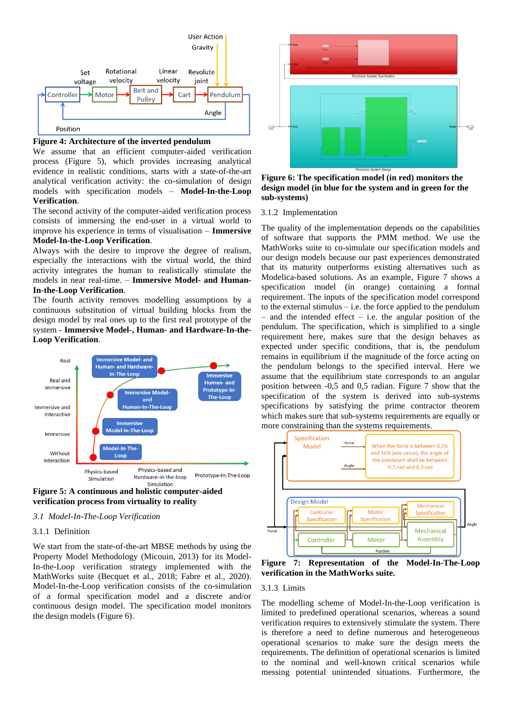

<span id="page-3-0"></span>

We assume that an efficient computer-aided verification process [\(Figure 5\)](#page-3-1), which provides increasing analytical evidence in realistic conditions, starts with a state-of-the-art analytical verification activity: the co-simulation of design models with specification models – **Model-In-the-Loop Verification**.

The second activity of the computer-aided verification process consists of immersing the end-user in a virtual world to improve his experience in terms of visualisation – **Immersive Model-In-the-Loop Verification**.

Always with the desire to improve the degree of realism, especially the interactions with the virtual world, the third activity integrates the human to realistically stimulate the models in near real-time. – **Immersive Model- and Human-In-the-Loop Verification**.

The fourth activity removes modelling assumptions by a continuous substitution of virtual building blocks from the design model by real ones up to the first real prototype of the system - **Immersive Model-, Human- and Hardware-In-the-Loop Verification**.



<span id="page-3-1"></span>**Figure 5: A continuous and holistic computer-aided verification process from virtuality to reality**

# *3.1 Model-In-The-Loop Verification*

# 3.1.1 Definition

We start from the state-of-the-art MBSE methods by using the Property Model Methodology (Micouin, 2013) for its Model-In-the-Loop verification strategy implemented with the MathWorks suite (Becquet et al., 2018; Fabre et al., 2020). Model-In-the-Loop verification consists of the co-simulation of a formal specification model and a discrete and/or continuous design model. The specification model monitors the design models [\(Figure 6\)](#page-3-2).



<span id="page-3-2"></span>**Figure 6: The specification model (in red) monitors the design model (in blue for the system and in green for the sub-systems)**

### 3.1.2 Implementation

The quality of the implementation depends on the capabilities of software that supports the PMM method. We use the MathWorks suite to co-simulate our specification models and our design models because our past experiences demonstrated that its maturity outperforms existing alternatives such as Modelica-based solutions. As an example, [Figure 7](#page-3-3) shows a specification model (in orange) containing a formal requirement. The inputs of the specification model correspond to the external stimulus  $-$  i.e. the force applied to the pendulum  $-$  and the intended effect  $-$  i.e. the angular position of the pendulum. The specification, which is simplified to a single requirement here, makes sure that the design behaves as expected under specific conditions, that is, the pendulum remains in equilibrium if the magnitude of the force acting on the pendulum belongs to the specified interval. Here we assume that the equilibrium state corresponds to an angular position between -0,5 and 0,5 radian. [Figure 7](#page-3-3) show that the specification of the system is derived into sub-systems specifications by satisfying the prime contractor theorem which makes sure that sub-systems requirements are equally or more constraining than the systems requirements.



<span id="page-3-3"></span>**Figure 7: Representation of the Model-In-The-Loop verification in the MathWorks suite.**

# 3.1.3 Limits

The modelling scheme of Model-In-the-Loop verification is limited to predefined operational scenarios, whereas a sound verification requires to extensively stimulate the system. There is therefore a need to define numerous and heterogeneous operational scenarios to make sure the design meets the requirements. The definition of operational scenarios is limited to the nominal and well-known critical scenarios while messing potential unintended situations. Furthermore, the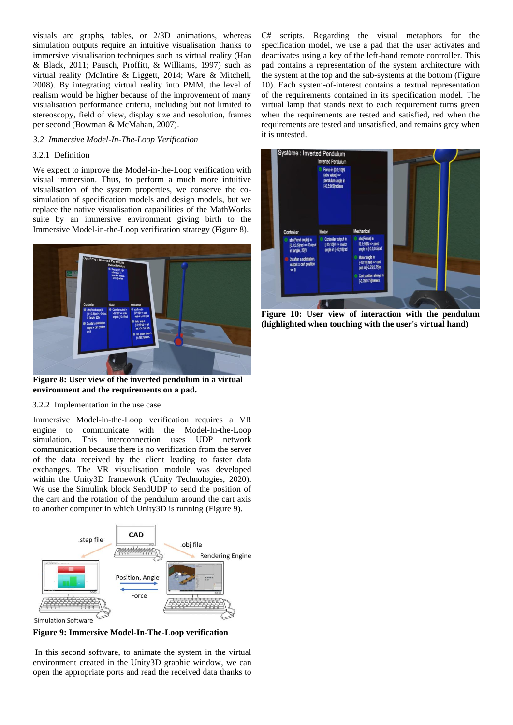visuals are graphs, tables, or 2/3D animations, whereas simulation outputs require an intuitive visualisation thanks to immersive visualisation techniques such as virtual reality (Han & Black, 2011; Pausch, Proffitt, & Williams, 1997) such as virtual reality (McIntire & Liggett, 2014; Ware & Mitchell, 2008). By integrating virtual reality into PMM, the level of realism would be higher because of the improvement of many visualisation performance criteria, including but not limited to stereoscopy, field of view, display size and resolution, frames per second (Bowman & McMahan, 2007).

## *3.2 Immersive Model-In-The-Loop Verification*

# 3.2.1 Definition

We expect to improve the Model-in-the-Loop verification with visual immersion. Thus, to perform a much more intuitive visualisation of the system properties, we conserve the cosimulation of specification models and design models, but we replace the native visualisation capabilities of the MathWorks suite by an immersive environment giving birth to the Immersive Model-in-the-Loop verification strategy [\(Figure 8\)](#page-4-0).



**Figure 8: User view of the inverted pendulum in a virtual environment and the requirements on a pad.**

<span id="page-4-0"></span>3.2.2 Implementation in the use case

Immersive Model-in-the-Loop verification requires a VR engine to communicate with the Model-In-the-Loop simulation. This interconnection uses UDP network communication because there is no verification from the server of the data received by the client leading to faster data exchanges. The VR visualisation module was developed within the Unity3D framework (Unity Technologies, 2020). We use the Simulink block SendUDP to send the position of the cart and the rotation of the pendulum around the cart axis to another computer in which Unity3D is running [\(Figure 9\)](#page-4-1).



<span id="page-4-1"></span>**Figure 9: Immersive Model-In-The-Loop verification**

In this second software, to animate the system in the virtual environment created in the Unity3D graphic window, we can open the appropriate ports and read the received data thanks to

C# scripts. Regarding the visual metaphors for the specification model, we use a pad that the user activates and deactivates using a key of the left-hand remote controller. This pad contains a representation of the system architecture with the system at the top and the sub-systems at the bottom [\(Figure](#page-4-2)  [10\)](#page-4-2). Each system-of-interest contains a textual representation of the requirements contained in its specification model. The virtual lamp that stands next to each requirement turns green when the requirements are tested and satisfied, red when the requirements are tested and unsatisfied, and remains grey when it is untested.



<span id="page-4-2"></span>**Figure 10: User view of interaction with the pendulum (highlighted when touching with the user's virtual hand)**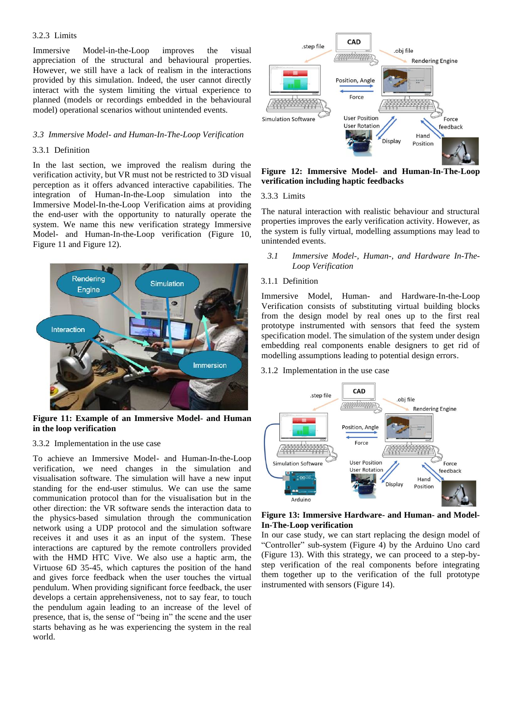# 3.2.3 Limits

Immersive Model-in-the-Loop improves the visual appreciation of the structural and behavioural properties. However, we still have a lack of realism in the interactions provided by this simulation. Indeed, the user cannot directly interact with the system limiting the virtual experience to planned (models or recordings embedded in the behavioural model) operational scenarios without unintended events.

### *3.3 Immersive Model- and Human-In-The-Loop Verification*

## 3.3.1 Definition

In the last section, we improved the realism during the verification activity, but VR must not be restricted to 3D visual perception as it offers advanced interactive capabilities. The integration of Human-In-the-Loop simulation into the Immersive Model-In-the-Loop Verification aims at providing the end-user with the opportunity to naturally operate the system. We name this new verification strategy Immersive Model- and Human-In-the-Loop verification [\(Figure 10,](#page-4-2)  [Figure 11](#page-5-0) and [Figure 12\)](#page-5-1).



**Figure 11: Example of an Immersive Model- and Human in the loop verification**

## <span id="page-5-0"></span>3.3.2 Implementation in the use case

To achieve an Immersive Model- and Human-In-the-Loop verification, we need changes in the simulation and visualisation software. The simulation will have a new input standing for the end-user stimulus. We can use the same communication protocol than for the visualisation but in the other direction: the VR software sends the interaction data to the physics-based simulation through the communication network using a UDP protocol and the simulation software receives it and uses it as an input of the system. These interactions are captured by the remote controllers provided with the HMD HTC Vive. We also use a haptic arm, the Virtuose 6D 35-45, which captures the position of the hand and gives force feedback when the user touches the virtual pendulum. When providing significant force feedback, the user develops a certain apprehensiveness, not to say fear, to touch the pendulum again leading to an increase of the level of presence, that is, the sense of "being in" the scene and the user starts behaving as he was experiencing the system in the real world.



<span id="page-5-1"></span>**Figure 12: Immersive Model- and Human-In-The-Loop verification including haptic feedbacks**

## 3.3.3 Limits

The natural interaction with realistic behaviour and structural properties improves the early verification activity. However, as the system is fully virtual, modelling assumptions may lead to unintended events.

*3.1 Immersive Model-, Human-, and Hardware In-The-Loop Verification*

# 3.1.1 Definition

Immersive Model, Human- and Hardware-In-the-Loop Verification consists of substituting virtual building blocks from the design model by real ones up to the first real prototype instrumented with sensors that feed the system specification model. The simulation of the system under design embedding real components enable designers to get rid of modelling assumptions leading to potential design errors.

## 3.1.2 Implementation in the use case



<span id="page-5-2"></span>**Figure 13: Immersive Hardware- and Human- and Model-In-The-Loop verification**

In our case study, we can start replacing the design model of "Controller" sub-system [\(Figure 4\)](#page-3-0) by the Arduino Uno card [\(Figure 13\)](#page-5-2). With this strategy, we can proceed to a step-bystep verification of the real components before integrating them together up to the verification of the full prototype instrumented with sensors [\(Figure 14\)](#page-6-0).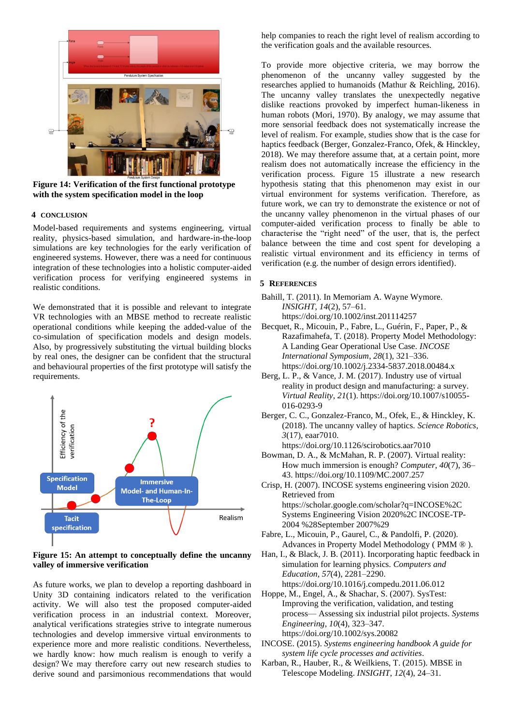

**Figure 14: Verification of the first functional prototype with the system specification model in the loop**

# <span id="page-6-0"></span>**4 CONCLUSION**

Model-based requirements and systems engineering, virtual reality, physics-based simulation, and hardware-in-the-loop simulations are key technologies for the early verification of engineered systems. However, there was a need for continuous integration of these technologies into a holistic computer-aided verification process for verifying engineered systems in realistic conditions.

We demonstrated that it is possible and relevant to integrate VR technologies with an MBSE method to recreate realistic operational conditions while keeping the added-value of the co-simulation of specification models and design models. Also, by progressively substituting the virtual building blocks by real ones, the designer can be confident that the structural and behavioural properties of the first prototype will satisfy the requirements.



<span id="page-6-1"></span>**Figure 15: An attempt to conceptually define the uncanny valley of immersive verification**

As future works, we plan to develop a reporting dashboard in Unity 3D containing indicators related to the verification activity. We will also test the proposed computer-aided verification process in an industrial context. Moreover, analytical verifications strategies strive to integrate numerous technologies and develop immersive virtual environments to experience more and more realistic conditions. Nevertheless, we hardly know: how much realism is enough to verify a design? We may therefore carry out new research studies to derive sound and parsimonious recommendations that would help companies to reach the right level of realism according to the verification goals and the available resources.

To provide more objective criteria, we may borrow the phenomenon of the uncanny valley suggested by the researches applied to humanoids (Mathur & Reichling, 2016). The uncanny valley translates the unexpectedly negative dislike reactions provoked by imperfect human-likeness in human robots (Mori, 1970). By analogy, we may assume that more sensorial feedback does not systematically increase the level of realism. For example, studies show that is the case for haptics feedback (Berger, Gonzalez-Franco, Ofek, & Hinckley, 2018). We may therefore assume that, at a certain point, more realism does not automatically increase the efficiency in the verification process. [Figure 15](#page-6-1) illustrate a new research hypothesis stating that this phenomenon may exist in our virtual environment for systems verification. Therefore, as future work, we can try to demonstrate the existence or not of the uncanny valley phenomenon in the virtual phases of our computer-aided verification process to finally be able to characterise the "right need" of the user, that is, the perfect balance between the time and cost spent for developing a realistic virtual environment and its efficiency in terms of verification (e.g. the number of design errors identified).

# **5 REFERENCES**

- Bahill, T. (2011). In Memoriam A. Wayne Wymore. *INSIGHT*, *14*(2), 57–61.
- https://doi.org/10.1002/inst.201114257 Becquet, R., Micouin, P., Fabre, L., Guérin, F., Paper, P., &
- Razafimahefa, T. (2018). Property Model Methodology: A Landing Gear Operational Use Case. *INCOSE International Symposium*, *28*(1), 321–336. https://doi.org/10.1002/j.2334-5837.2018.00484.x
- Berg, L. P., & Vance, J. M. (2017). Industry use of virtual reality in product design and manufacturing: a survey. *Virtual Reality*, *21*(1). https://doi.org/10.1007/s10055- 016-0293-9
- Berger, C. C., Gonzalez-Franco, M., Ofek, E., & Hinckley, K. (2018). The uncanny valley of haptics. *Science Robotics*, *3*(17), eaar7010. https://doi.org/10.1126/scirobotics.aar7010
- Bowman, D. A., & McMahan, R. P. (2007). Virtual reality: How much immersion is enough? *Computer*, *40*(7), 36– 43. https://doi.org/10.1109/MC.2007.257
- Crisp, H. (2007). INCOSE systems engineering vision 2020. Retrieved from https://scholar.google.com/scholar?q=INCOSE%2C Systems Engineering Vision 2020%2C INCOSE-TP-2004 %28September 2007%29
- Fabre, L., Micouin, P., Gaurel, C., & Pandolfi, P. (2020). Advances in Property Model Methodology ( PMM ® ).
- Han, I., & Black, J. B. (2011). Incorporating haptic feedback in simulation for learning physics. *Computers and Education*, *57*(4), 2281–2290. https://doi.org/10.1016/j.compedu.2011.06.012
- Hoppe, M., Engel, A., & Shachar, S. (2007). SysTest: Improving the verification, validation, and testing process— Assessing six industrial pilot projects. *Systems Engineering*, *10*(4), 323–347. https://doi.org/10.1002/sys.20082
- INCOSE. (2015). *Systems engineering handbook A guide for system life cycle processes and activities*.
- Karban, R., Hauber, R., & Weilkiens, T. (2015). MBSE in Telescope Modeling. *INSIGHT*, *12*(4), 24–31.